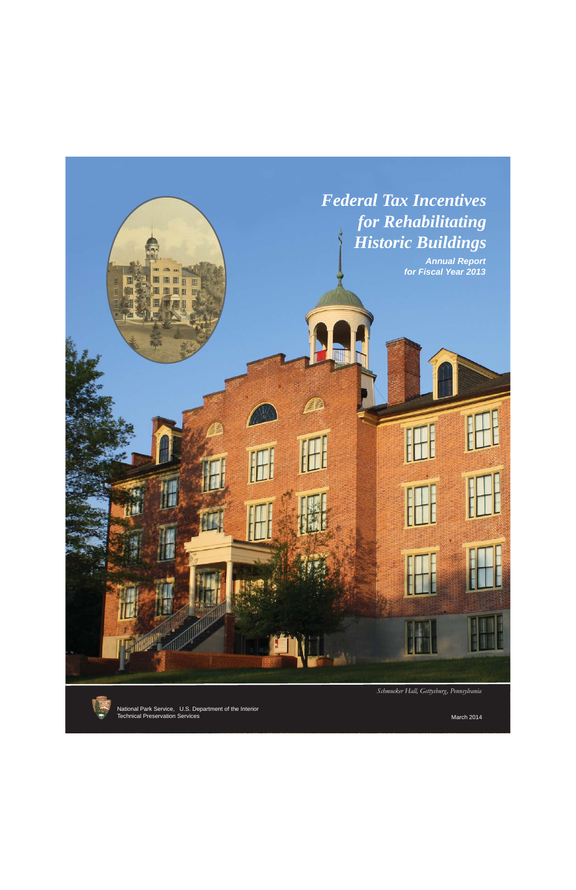# *Federal Tax Incentives for Rehabilitating Historic Buildings*

*Annual Report for Fiscal Year 2013*



National Park Service, U.S. Department of the Interior Technical Preservation Services

IHI

H

 $\frac{1}{2}$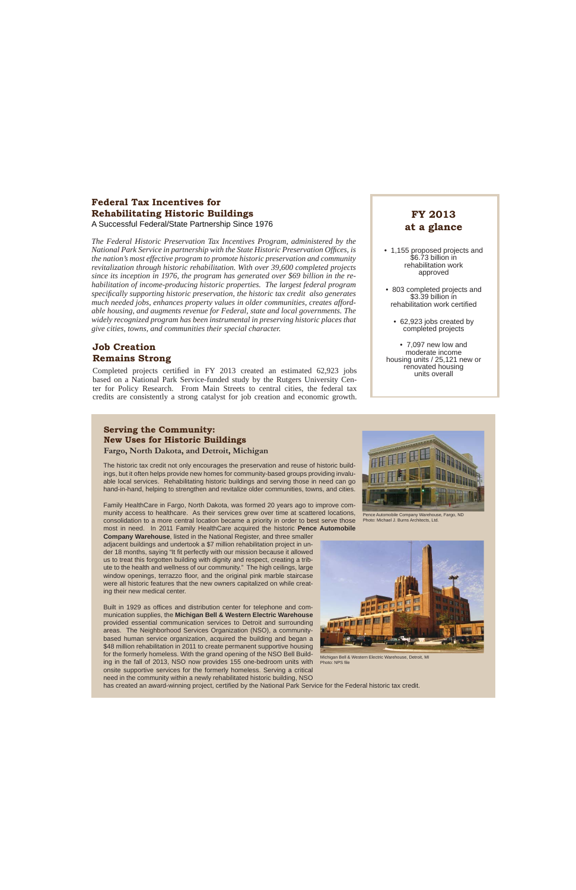# **Federal Tax Incentives for Rehabilitating Historic Buildings**

A Successful Federal/State Partnership Since 1976

*The Federal Historic Preservation Tax Incentives Program, administered by the National Park Service in partnership with the State Historic Preservation Offices, is the nation's most effective program to promote historic preservation and community revitalization through historic rehabilitation. With over 39,600 completed projects since its inception in 1976, the program has generated over \$69 billion in the rehabilitation of income-producing historic properties. The largest federal program specifi cally supporting historic preservation, the historic tax credit also generates much needed jobs, enhances property values in older communities, creates affordable housing, and augments revenue for Federal, state and local governments. The widely recognized program has been instrumental in preserving historic places that give cities, towns, and communities their special character.*

## **Job Creation Remains Strong**

Completed projects certified in FY 2013 created an estimated  $62,923$  jobs based on a National Park Service-funded study by the Rutgers University Center for Policy Research. From Main Streets to central cities, the federal tax credits are consistently a strong catalyst for job creation and economic growth.

## **FY 2013 at a glance**

- 1,155 proposed projects and \$6.73 billion in rehabilitation work approved
- 803 completed projects and \$3.39 billion in rehabilitation work certified
	- 62,923 jobs created by completed projects
- 7,097 new low and moderate income housing units / 25,121 new or renovated housing units overall

### **Serving the Community: New Uses for Historic Buildings**

**Fargo, North Dakota, and Detroit, Michigan**

The historic tax credit not only encourages the preservation and reuse of historic buildings, but it often helps provide new homes for community-based groups providing invaluable local services. Rehabilitating historic buildings and serving those in need can go hand-in-hand, helping to strengthen and revitalize older communities, towns, and cities.

Family HealthCare in Fargo, North Dakota, was formed 20 years ago to improve community access to healthcare. As their services grew over time at scattered locations, consolidation to a more central location became a priority in order to best serve those most in need. In 2011 Family HealthCare acquired the historic **Pence Automobile** 

**Company Warehouse**, listed in the National Register, and three smaller adjacent buildings and undertook a \$7 million rehabilitation project in under 18 months, saying "It fit perfectly with our mission because it allowed us to treat this forgotten building with dignity and respect, creating a tribute to the health and wellness of our community." The high ceilings, large window openings, terrazzo floor, and the original pink marble staircase were all historic features that the new owners capitalized on while creating their new medical center.

Built in 1929 as offices and distribution center for telephone and communication supplies, the **Michigan Bell & Western Electric Warehouse** provided essential communication services to Detroit and surrounding areas. The Neighborhood Services Organization (NSO), a communitybased human service organization, acquired the building and began a \$48 million rehabilitation in 2011 to create permanent supportive housing for the formerly homeless. With the grand opening of the NSO Bell Building in the fall of 2013, NSO now provides 155 one-bedroom units with onsite supportive services for the formerly homeless. Serving a critical need in the community within a newly rehabilitated historic building, NSO



Pence Automobile Company Warehouse, Fargo, ND Photo: Michael J. Burns Architects, Ltd.



Michigan Bell & Western Electric Warehouse, Detroit, MI Photo: NPS file

has created an award-winning project, certified by the National Park Service for the Federal historic tax credit.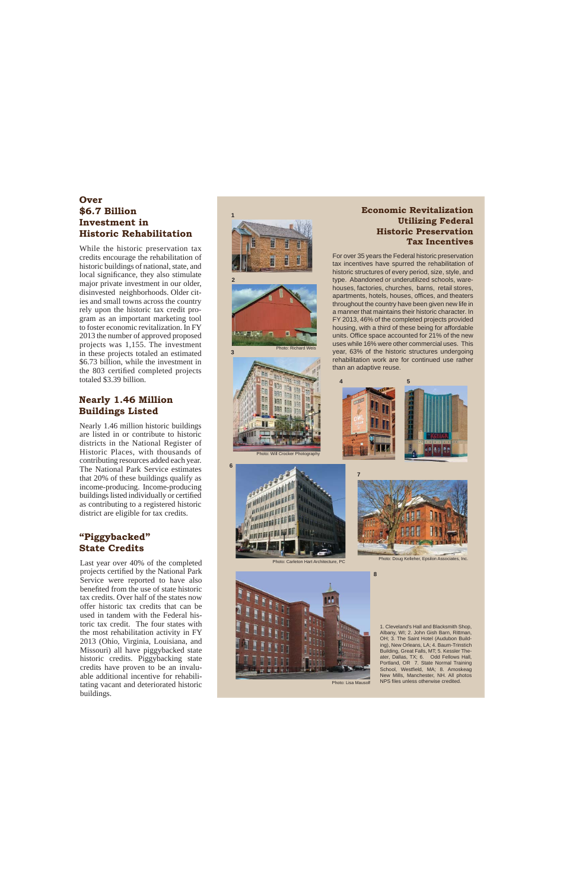### **Over \$6.7 Billion Investment in Historic Rehabilitation**

While the historic preservation tax credits encourage the rehabilitation of historic buildings of national, state, and local significance, they also stimulate major private investment in our older, disinvested neighborhoods. Older cities and small towns across the country rely upon the historic tax credit program as an important marketing tool to foster economic revitalization. In FY 2013 the number of approved proposed projects was 1,155. The investment in these projects totaled an estimated \$6.73 billion, while the investment in the 803 certified completed projects totaled \$3.39 billion.

## **Nearly 1.46 Million Buildings Listed**

Nearly 1.46 million historic buildings are listed in or contribute to historic districts in the National Register of Historic Places, with thousands of contributing resources added each year. The National Park Service estimates that 20% of these buildings qualify as income-producing. Income-producing buildings listed individually or certified as contributing to a registered historic district are eligible for tax credits.

## **"Piggybacked" State Credits**

Last year over 40% of the completed projects certified by the National Park Service were reported to have also benefited from the use of state historic tax credits. Over half of the states now offer historic tax credits that can be used in tandem with the Federal historic tax credit. The four states with the most rehabilitation activity in FY 2013 (Ohio, Virginia, Louisiana, and Missouri) all have piggybacked state historic credits. Piggybacking state credits have proven to be an invaluable additional incentive for rehabilitating vacant and deteriorated historic buildings.



**6**

#### **Economic Revitalization Utilizing Federal Historic Preservation Tax Incentives**

For over 35 years the Federal historic preservation tax incentives have spurred the rehabilitation of historic structures of every period, size, style, and type. Abandoned or underutilized schools, warehouses, factories, churches, barns, retail stores, apartments, hotels, houses, offices, and theaters throughout the country have been given new life in a manner that maintains their historic character. In FY 2013, 46% of the completed projects provided housing, with a third of these being for affordable units. Office space accounted for 21% of the new uses while 16% were other commercial uses. This year, 63% of the historic structures undergoing rehabilitation work are for continued use rather than an adaptive reuse.





**8**

Photo: Lisa Mausolf

Photo: Doug Kelleher, Epsilon Associates, Inc.

1. Cleveland's Hall and Blacksmith Shop, Albany, WI; 2. John Gish Barn, Rittman, OH; 3. The Saint Hotel (Audubon Building), New Orleans, LA; 4. Baum-Trinstich Building, Great Falls, MT; 5. Kessler Theater, Dallas, TX; 6. Odd Fellows Hall, Portland, OR 7. State Normal Training School, Westfield, MA; 8. Amoskeag New Mills, Manchester, NH. All photos NPS files unless otherwise credited.